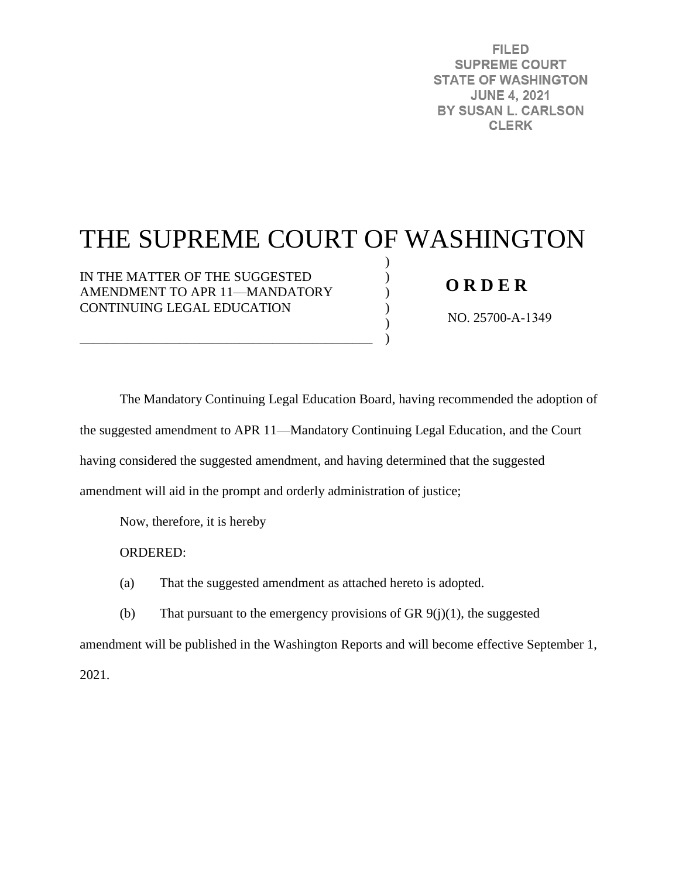**FILED SUPREME COURT STATE OF WASHINGTON JUNE 4, 2021** BY SUSAN L. CARLSON **CLERK** 

# THE SUPREME COURT OF WASHINGTON

) ) ) ) ) )

IN THE MATTER OF THE SUGGESTED AMENDMENT TO APR 11—MANDATORY CONTINUING LEGAL EDUCATION

\_\_\_\_\_\_\_\_\_\_\_\_\_\_\_\_\_\_\_\_\_\_\_\_\_\_\_\_\_\_\_\_\_\_\_\_\_\_\_\_\_\_\_\_

## **O R D E R**

NO. 25700-A-1349

The Mandatory Continuing Legal Education Board, having recommended the adoption of the suggested amendment to APR 11—Mandatory Continuing Legal Education, and the Court having considered the suggested amendment, and having determined that the suggested amendment will aid in the prompt and orderly administration of justice;

Now, therefore, it is hereby

ORDERED:

(a) That the suggested amendment as attached hereto is adopted.

(b) That pursuant to the emergency provisions of GR  $9(j)(1)$ , the suggested

amendment will be published in the Washington Reports and will become effective September 1,

2021.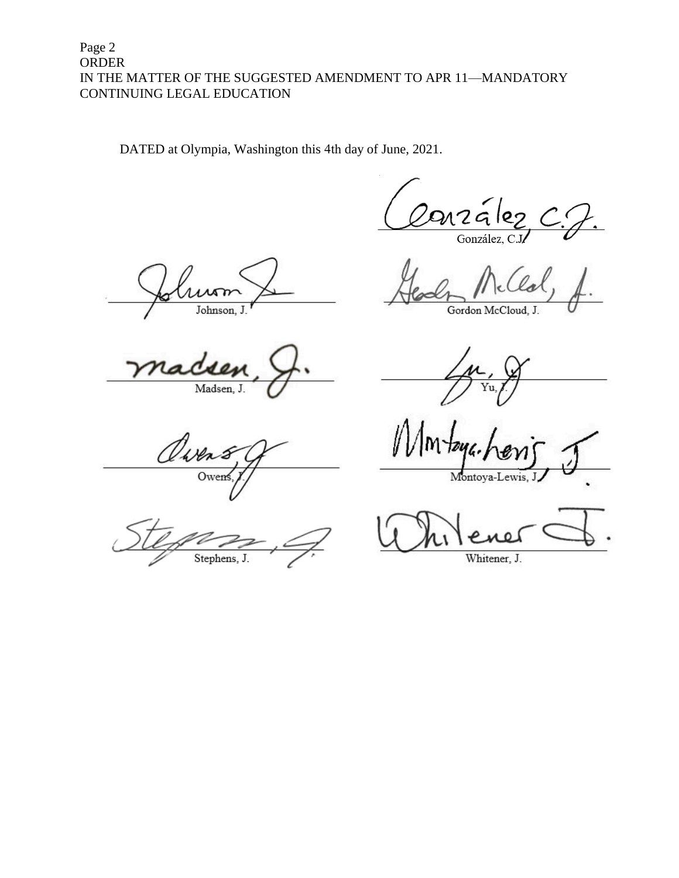## Page 2 ORDER IN THE MATTER OF THE SUGGESTED AMENDMENT TO APR 11—MANDATORY CONTINUING LEGAL EDUCATION

DATED at Olympia, Washington this 4th day of June, 2021.

González

Johnson, J

Madsen, J.

Owen Ower

Stephens, J

Gordon McCloud, J.

Montoya-L

Whitener, J.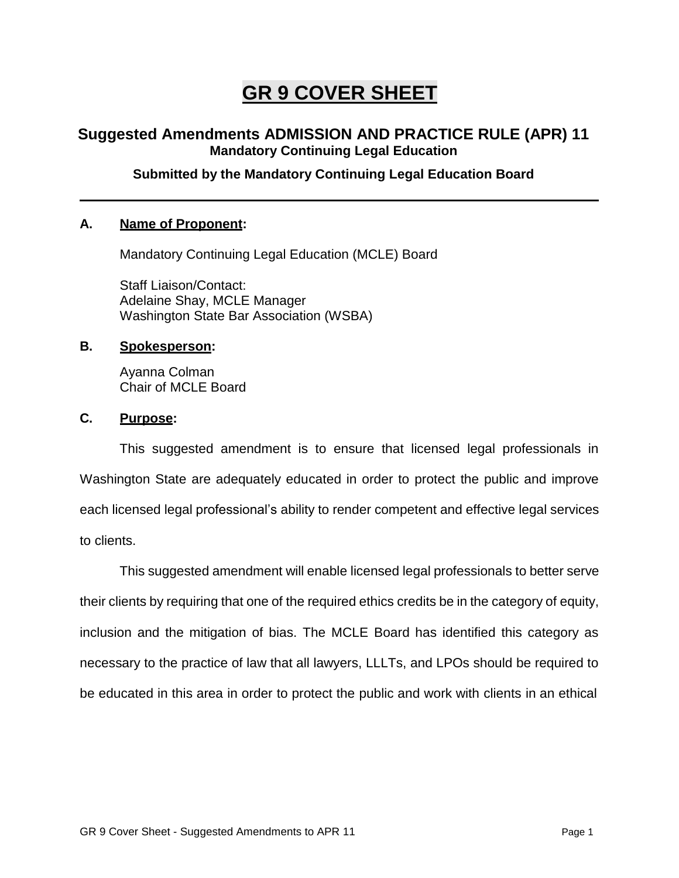## **GR 9 COVER SHEET**

## **Suggested Amendments ADMISSION AND PRACTICE RULE (APR) 11 Mandatory Continuing Legal Education**

## **Submitted by the Mandatory Continuing Legal Education Board**

#### **A. Name of Proponent:**

Mandatory Continuing Legal Education (MCLE) Board

Staff Liaison/Contact: Adelaine Shay, MCLE Manager Washington State Bar Association (WSBA)

#### **B. Spokesperson:**

Ayanna Colman Chair of MCLE Board

#### **C. Purpose:**

This suggested amendment is to ensure that licensed legal professionals in Washington State are adequately educated in order to protect the public and improve each licensed legal professional's ability to render competent and effective legal services to clients.

This suggested amendment will enable licensed legal professionals to better serve their clients by requiring that one of the required ethics credits be in the category of equity, inclusion and the mitigation of bias. The MCLE Board has identified this category as necessary to the practice of law that all lawyers, LLLTs, and LPOs should be required to be educated in this area in order to protect the public and work with clients in an ethical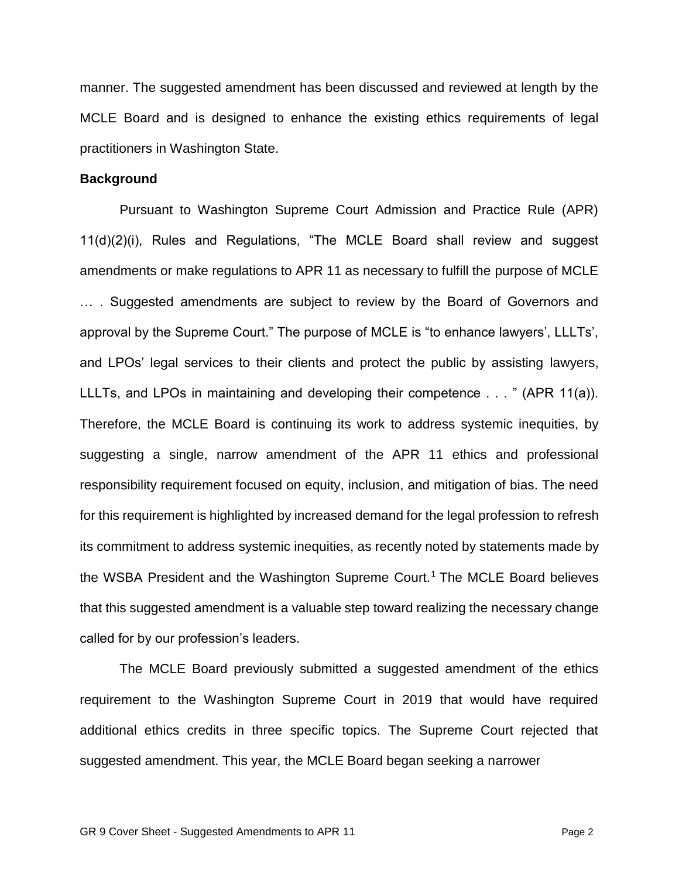manner. The suggested amendment has been discussed and reviewed at length by the MCLE Board and is designed to enhance the existing ethics requirements of legal practitioners in Washington State.

#### **Background**

Pursuant to Washington Supreme Court Admission and Practice Rule (APR) 11(d)(2)(i), Rules and Regulations, "The MCLE Board shall review and suggest amendments or make regulations to APR 11 as necessary to fulfill the purpose of MCLE … . Suggested amendments are subject to review by the Board of Governors and approval by the Supreme Court." The purpose of MCLE is "to enhance lawyers', LLLTs', and LPOs' legal services to their clients and protect the public by assisting lawyers, LLLTs, and LPOs in maintaining and developing their competence . . . " (APR 11(a)). Therefore, the MCLE Board is continuing its work to address systemic inequities, by suggesting a single, narrow amendment of the APR 11 ethics and professional responsibility requirement focused on equity, inclusion, and mitigation of bias. The need for this requirement is highlighted by increased demand for the legal profession to refresh its commitment to address systemic inequities, as recently noted by statements made by the WSBA President and the Washington Supreme Court.<sup>1</sup> The MCLE Board believes that this suggested amendment is a valuable step toward realizing the necessary change called for by our profession's leaders.

The MCLE Board previously submitted a suggested amendment of the ethics requirement to the Washington Supreme Court in 2019 that would have required additional ethics credits in three specific topics. The Supreme Court rejected that suggested amendment. This year, the MCLE Board began seeking a narrower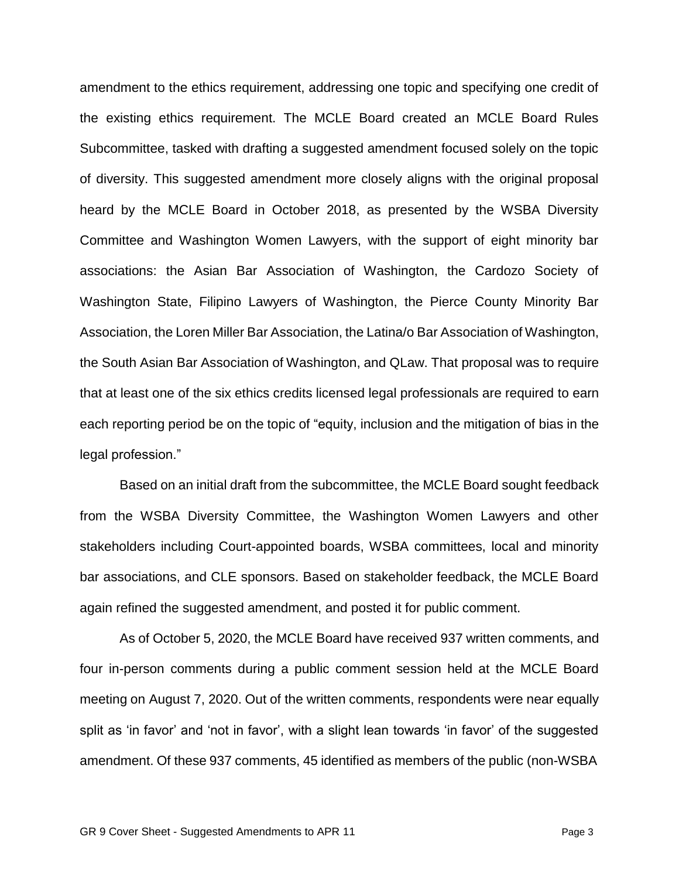amendment to the ethics requirement, addressing one topic and specifying one credit of the existing ethics requirement. The MCLE Board created an MCLE Board Rules Subcommittee, tasked with drafting a suggested amendment focused solely on the topic of diversity. This suggested amendment more closely aligns with the original proposal heard by the MCLE Board in October 2018, as presented by the WSBA Diversity Committee and Washington Women Lawyers, with the support of eight minority bar associations: the Asian Bar Association of Washington, the Cardozo Society of Washington State, Filipino Lawyers of Washington, the Pierce County Minority Bar Association, the Loren Miller Bar Association, the Latina/o Bar Association of Washington, the South Asian Bar Association of Washington, and QLaw. That proposal was to require that at least one of the six ethics credits licensed legal professionals are required to earn each reporting period be on the topic of "equity, inclusion and the mitigation of bias in the legal profession."

Based on an initial draft from the subcommittee, the MCLE Board sought feedback from the WSBA Diversity Committee, the Washington Women Lawyers and other stakeholders including Court-appointed boards, WSBA committees, local and minority bar associations, and CLE sponsors. Based on stakeholder feedback, the MCLE Board again refined the suggested amendment, and posted it for public comment.

As of October 5, 2020, the MCLE Board have received 937 written comments, and four in-person comments during a public comment session held at the MCLE Board meeting on August 7, 2020. Out of the written comments, respondents were near equally split as 'in favor' and 'not in favor', with a slight lean towards 'in favor' of the suggested amendment. Of these 937 comments, 45 identified as members of the public (non-WSBA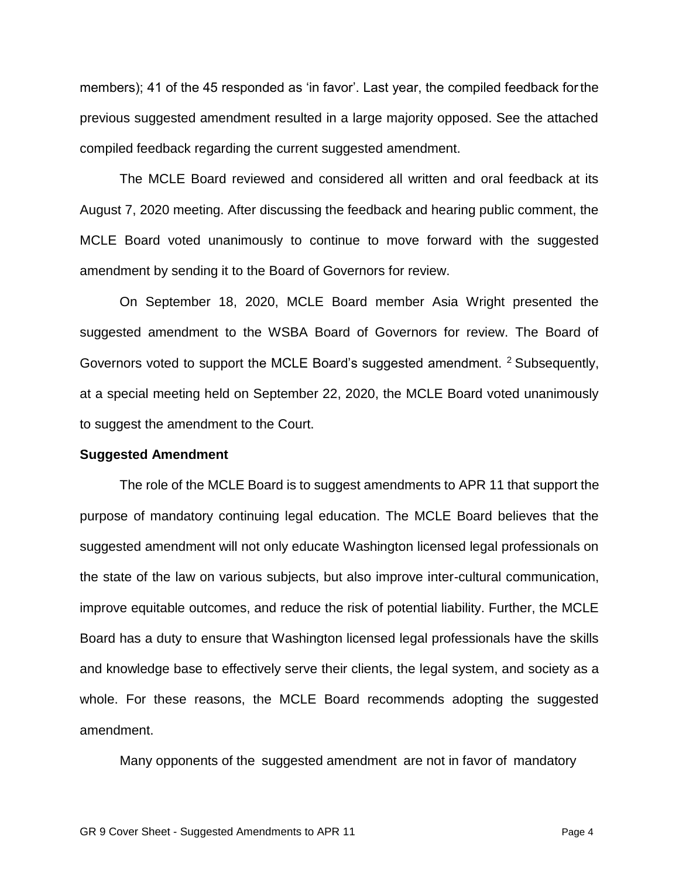members); 41 of the 45 responded as 'in favor'. Last year, the compiled feedback forthe previous suggested amendment resulted in a large majority opposed. See the attached compiled feedback regarding the current suggested amendment.

The MCLE Board reviewed and considered all written and oral feedback at its August 7, 2020 meeting. After discussing the feedback and hearing public comment, the MCLE Board voted unanimously to continue to move forward with the suggested amendment by sending it to the Board of Governors for review.

On September 18, 2020, MCLE Board member Asia Wright presented the suggested amendment to the WSBA Board of Governors for review. The Board of Governors voted to support the MCLE Board's suggested amendment. <sup>2</sup> Subsequently, at a special meeting held on September 22, 2020, the MCLE Board voted unanimously to suggest the amendment to the Court.

#### **Suggested Amendment**

The role of the MCLE Board is to suggest amendments to APR 11 that support the purpose of mandatory continuing legal education. The MCLE Board believes that the suggested amendment will not only educate Washington licensed legal professionals on the state of the law on various subjects, but also improve inter-cultural communication, improve equitable outcomes, and reduce the risk of potential liability. Further, the MCLE Board has a duty to ensure that Washington licensed legal professionals have the skills and knowledge base to effectively serve their clients, the legal system, and society as a whole. For these reasons, the MCLE Board recommends adopting the suggested amendment.

Many opponents of the suggested amendment are not in favor of mandatory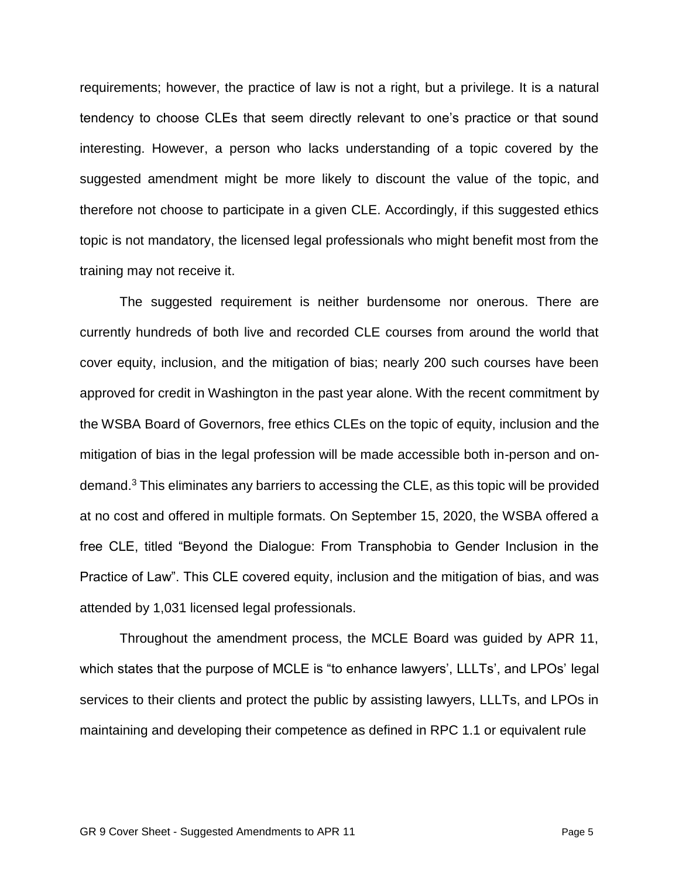requirements; however, the practice of law is not a right, but a privilege. It is a natural tendency to choose CLEs that seem directly relevant to one's practice or that sound interesting. However, a person who lacks understanding of a topic covered by the suggested amendment might be more likely to discount the value of the topic, and therefore not choose to participate in a given CLE. Accordingly, if this suggested ethics topic is not mandatory, the licensed legal professionals who might benefit most from the training may not receive it.

The suggested requirement is neither burdensome nor onerous. There are currently hundreds of both live and recorded CLE courses from around the world that cover equity, inclusion, and the mitigation of bias; nearly 200 such courses have been approved for credit in Washington in the past year alone. With the recent commitment by the WSBA Board of Governors, free ethics CLEs on the topic of equity, inclusion and the mitigation of bias in the legal profession will be made accessible both in-person and ondemand.<sup>3</sup> This eliminates any barriers to accessing the CLE, as this topic will be provided at no cost and offered in multiple formats. On September 15, 2020, the WSBA offered a free CLE, titled "Beyond the Dialogue: From Transphobia to Gender Inclusion in the Practice of Law". This CLE covered equity, inclusion and the mitigation of bias, and was attended by 1,031 licensed legal professionals.

Throughout the amendment process, the MCLE Board was guided by APR 11, which states that the purpose of MCLE is "to enhance lawyers', LLLTs', and LPOs' legal services to their clients and protect the public by assisting lawyers, LLLTs, and LPOs in maintaining and developing their competence as defined in RPC 1.1 or equivalent rule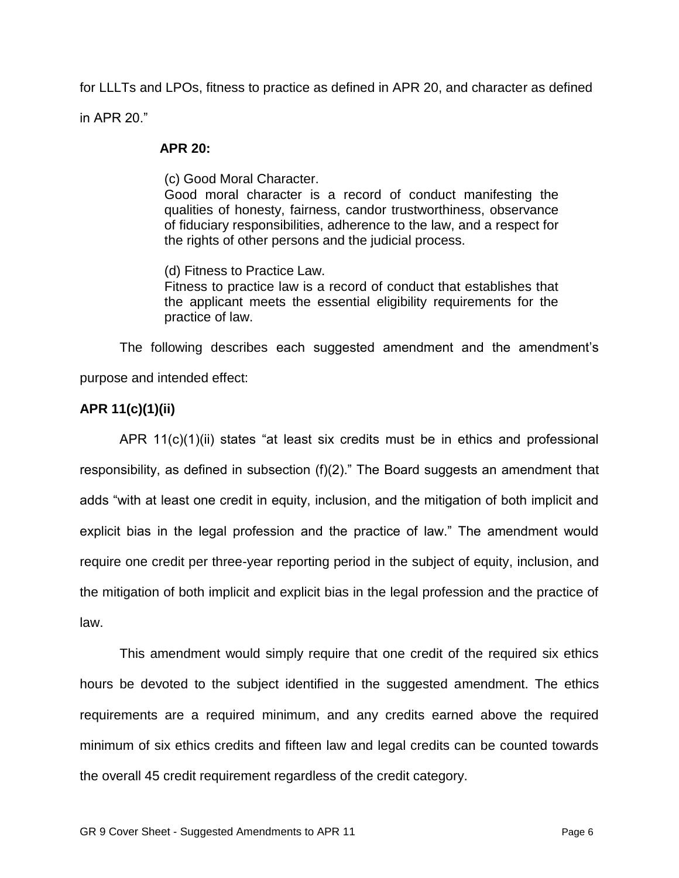for LLLTs and LPOs, fitness to practice as defined in APR 20, and character as defined in APR 20."

#### **APR 20:**

(c) Good Moral Character.

Good moral character is a record of conduct manifesting the qualities of honesty, fairness, candor trustworthiness, observance of fiduciary responsibilities, adherence to the law, and a respect for the rights of other persons and the judicial process.

(d) Fitness to Practice Law. Fitness to practice law is a record of conduct that establishes that the applicant meets the essential eligibility requirements for the practice of law.

The following describes each suggested amendment and the amendment's purpose and intended effect:

## **APR 11(c)(1)(ii)**

APR 11(c)(1)(ii) states "at least six credits must be in ethics and professional responsibility, as defined in subsection (f)(2)." The Board suggests an amendment that adds "with at least one credit in equity, inclusion, and the mitigation of both implicit and explicit bias in the legal profession and the practice of law." The amendment would require one credit per three-year reporting period in the subject of equity, inclusion, and the mitigation of both implicit and explicit bias in the legal profession and the practice of law.

This amendment would simply require that one credit of the required six ethics hours be devoted to the subject identified in the suggested amendment. The ethics requirements are a required minimum, and any credits earned above the required minimum of six ethics credits and fifteen law and legal credits can be counted towards the overall 45 credit requirement regardless of the credit category.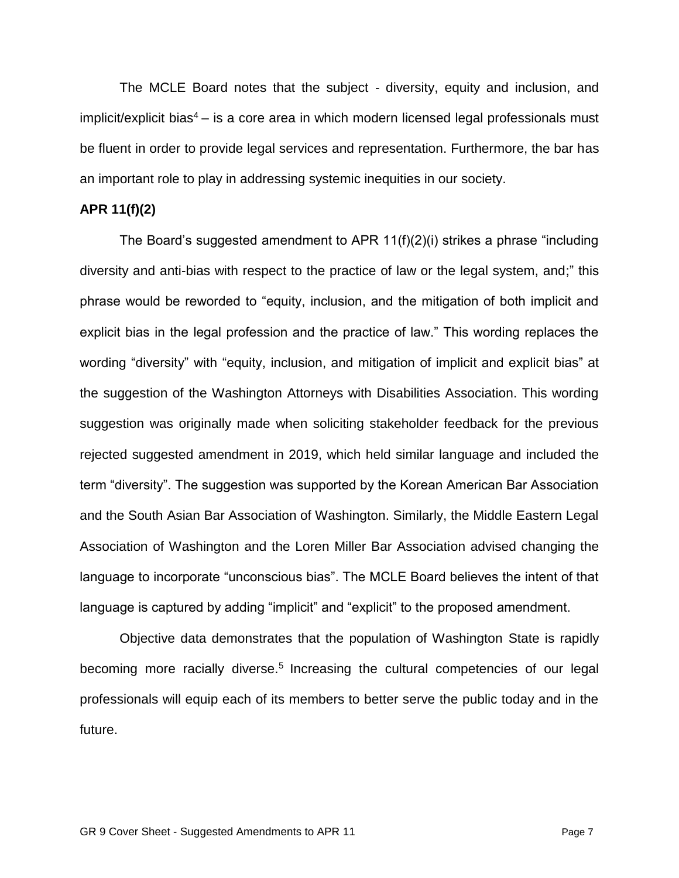The MCLE Board notes that the subject - diversity, equity and inclusion, and implicit/explicit bias<sup>4</sup> – is a core area in which modern licensed legal professionals must be fluent in order to provide legal services and representation. Furthermore, the bar has an important role to play in addressing systemic inequities in our society.

#### **APR 11(f)(2)**

The Board's suggested amendment to APR 11(f)(2)(i) strikes a phrase "including diversity and anti-bias with respect to the practice of law or the legal system, and;" this phrase would be reworded to "equity, inclusion, and the mitigation of both implicit and explicit bias in the legal profession and the practice of law." This wording replaces the wording "diversity" with "equity, inclusion, and mitigation of implicit and explicit bias" at the suggestion of the Washington Attorneys with Disabilities Association. This wording suggestion was originally made when soliciting stakeholder feedback for the previous rejected suggested amendment in 2019, which held similar language and included the term "diversity". The suggestion was supported by the Korean American Bar Association and the South Asian Bar Association of Washington. Similarly, the Middle Eastern Legal Association of Washington and the Loren Miller Bar Association advised changing the language to incorporate "unconscious bias". The MCLE Board believes the intent of that language is captured by adding "implicit" and "explicit" to the proposed amendment.

Objective data demonstrates that the population of Washington State is rapidly becoming more racially diverse.<sup>5</sup> Increasing the cultural competencies of our legal professionals will equip each of its members to better serve the public today and in the future.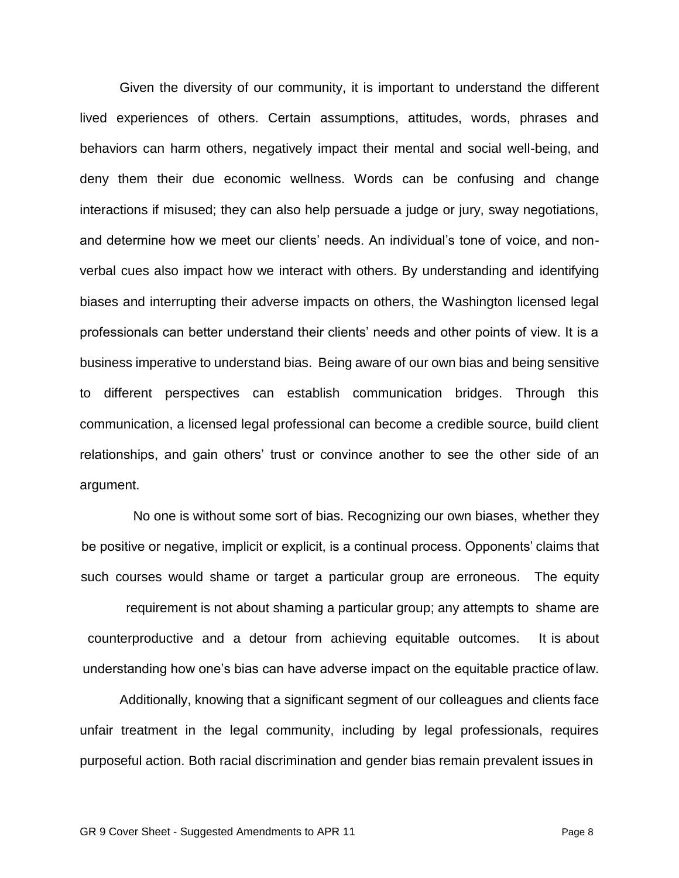Given the diversity of our community, it is important to understand the different lived experiences of others. Certain assumptions, attitudes, words, phrases and behaviors can harm others, negatively impact their mental and social well-being, and deny them their due economic wellness. Words can be confusing and change interactions if misused; they can also help persuade a judge or jury, sway negotiations, and determine how we meet our clients' needs. An individual's tone of voice, and nonverbal cues also impact how we interact with others. By understanding and identifying biases and interrupting their adverse impacts on others, the Washington licensed legal professionals can better understand their clients' needs and other points of view. It is a business imperative to understand bias. Being aware of our own bias and being sensitive to different perspectives can establish communication bridges. Through this communication, a licensed legal professional can become a credible source, build client relationships, and gain others' trust or convince another to see the other side of an argument.

No one is without some sort of bias. Recognizing our own biases, whether they be positive or negative, implicit or explicit, is a continual process. Opponents' claims that such courses would shame or target a particular group are erroneous. The equity

requirement is not about shaming a particular group; any attempts to shame are counterproductive and a detour from achieving equitable outcomes. It is about understanding how one's bias can have adverse impact on the equitable practice oflaw.

Additionally, knowing that a significant segment of our colleagues and clients face unfair treatment in the legal community, including by legal professionals, requires purposeful action. Both racial discrimination and gender bias remain prevalent issues in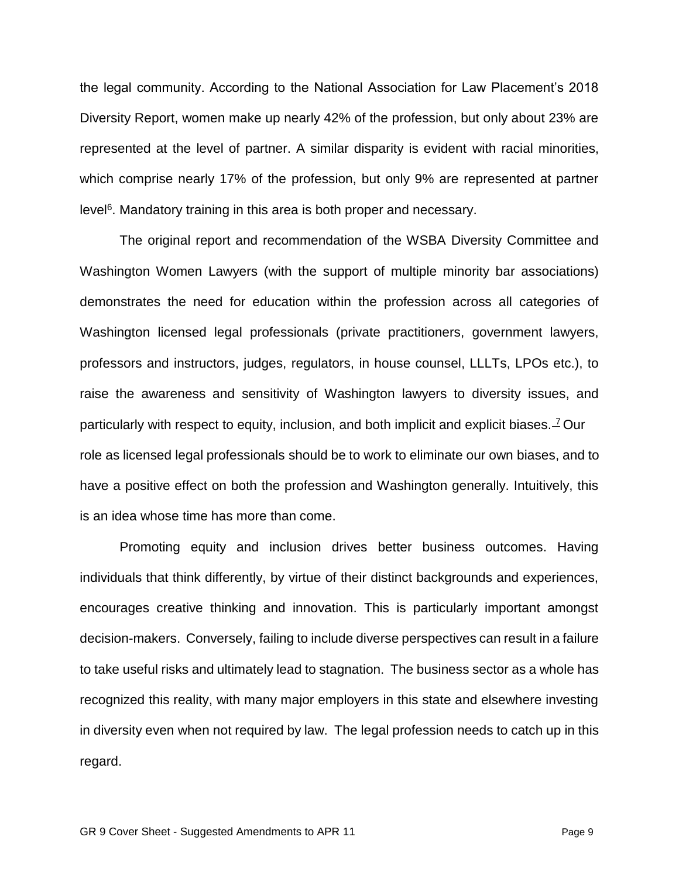the legal community. According to the National Association for Law Placement's 2018 Diversity Report, women make up nearly 42% of the profession, but only about 23% are represented at the level of partner. A similar disparity is evident with racial minorities, which comprise nearly 17% of the profession, but only 9% are represented at partner level<sup>6</sup>. Mandatory training in this area is both proper and necessary.

The original report and recommendation of the WSBA Diversity Committee and Washington Women Lawyers (with the support of multiple minority bar associations) demonstrates the need for education within the profession across all categories of Washington licensed legal professionals (private practitioners, government lawyers, professors and instructors, judges, regulators, in house counsel, LLLTs, LPOs etc.), to raise the awareness and sensitivity of Washington lawyers to diversity issues, and particularly with respect to equity, inclusion, and both implicit and explicit biases. <sup>7</sup> Our role as licensed legal professionals should be to work to eliminate our own biases, and to have a positive effect on both the profession and Washington generally. Intuitively, this is an idea whose time has more than come.

Promoting equity and inclusion drives better business outcomes. Having individuals that think differently, by virtue of their distinct backgrounds and experiences, encourages creative thinking and innovation. This is particularly important amongst decision-makers. Conversely, failing to include diverse perspectives can result in a failure to take useful risks and ultimately lead to stagnation. The business sector as a whole has recognized this reality, with many major employers in this state and elsewhere investing in diversity even when not required by law. The legal profession needs to catch up in this regard.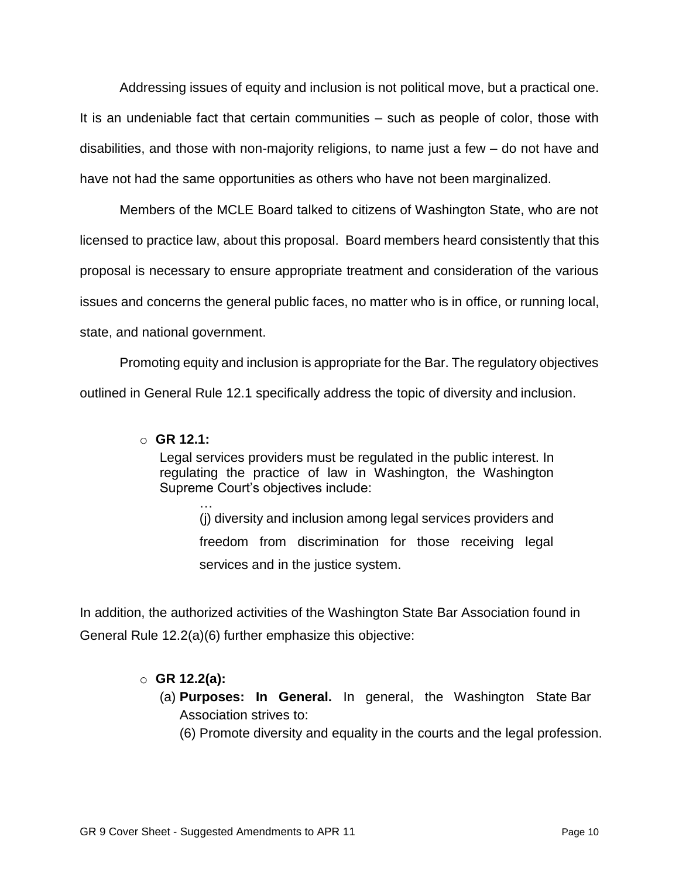Addressing issues of equity and inclusion is not political move, but a practical one. It is an undeniable fact that certain communities – such as people of color, those with disabilities, and those with non-majority religions, to name just a few – do not have and have not had the same opportunities as others who have not been marginalized.

Members of the MCLE Board talked to citizens of Washington State, who are not licensed to practice law, about this proposal. Board members heard consistently that this proposal is necessary to ensure appropriate treatment and consideration of the various issues and concerns the general public faces, no matter who is in office, or running local, state, and national government.

Promoting equity and inclusion is appropriate for the Bar. The regulatory objectives outlined in General Rule 12.1 specifically address the topic of diversity and inclusion.

## o **GR 12.1:**

Legal services providers must be regulated in the public interest. In regulating the practice of law in Washington, the Washington Supreme Court's objectives include:

… (j) diversity and inclusion among legal services providers and freedom from discrimination for those receiving legal services and in the justice system.

In addition, the authorized activities of the Washington State Bar Association found in General Rule 12.2(a)(6) further emphasize this objective:

#### o **GR 12.2(a):**

- (a) **Purposes: In General.** In general, the Washington State Bar Association strives to:
	- (6) Promote diversity and equality in the courts and the legal profession.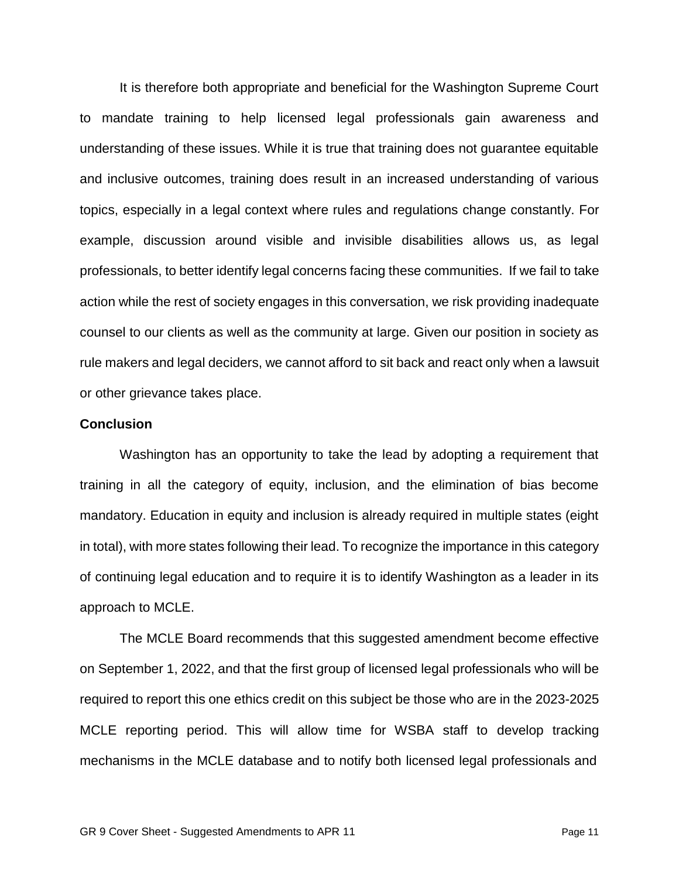It is therefore both appropriate and beneficial for the Washington Supreme Court to mandate training to help licensed legal professionals gain awareness and understanding of these issues. While it is true that training does not guarantee equitable and inclusive outcomes, training does result in an increased understanding of various topics, especially in a legal context where rules and regulations change constantly. For example, discussion around visible and invisible disabilities allows us, as legal professionals, to better identify legal concerns facing these communities. If we fail to take action while the rest of society engages in this conversation, we risk providing inadequate counsel to our clients as well as the community at large. Given our position in society as rule makers and legal deciders, we cannot afford to sit back and react only when a lawsuit or other grievance takes place.

#### **Conclusion**

Washington has an opportunity to take the lead by adopting a requirement that training in all the category of equity, inclusion, and the elimination of bias become mandatory. Education in equity and inclusion is already required in multiple states (eight in total), with more states following their lead. To recognize the importance in this category of continuing legal education and to require it is to identify Washington as a leader in its approach to MCLE.

The MCLE Board recommends that this suggested amendment become effective on September 1, 2022, and that the first group of licensed legal professionals who will be required to report this one ethics credit on this subject be those who are in the 2023-2025 MCLE reporting period. This will allow time for WSBA staff to develop tracking mechanisms in the MCLE database and to notify both licensed legal professionals and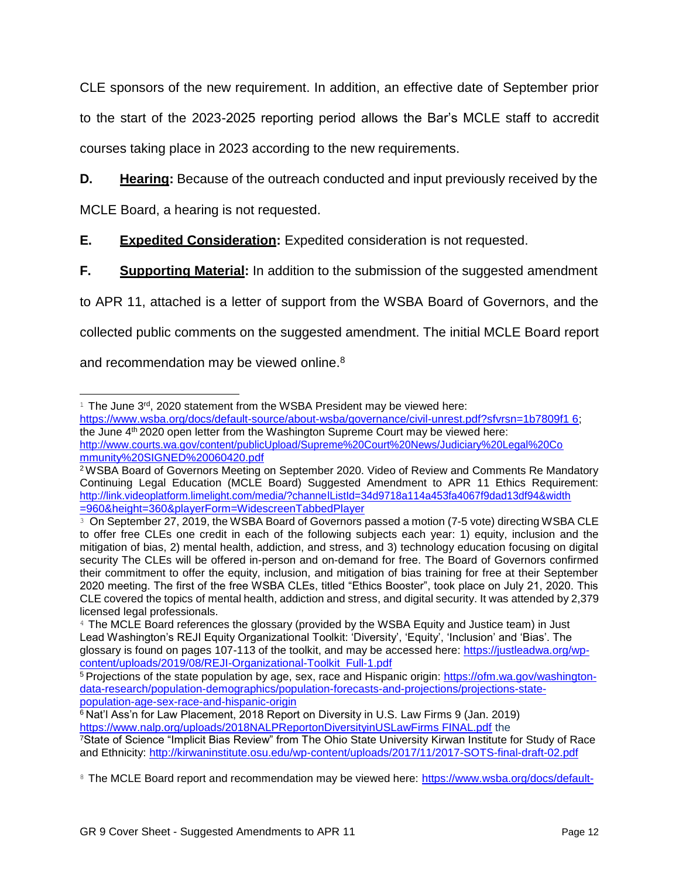CLE sponsors of the new requirement. In addition, an effective date of September prior to the start of the 2023-2025 reporting period allows the Bar's MCLE staff to accredit courses taking place in 2023 according to the new requirements.

**D. Hearing:** Because of the outreach conducted and input previously received by the

MCLE Board, a hearing is not requested.

## **E. Expedited Consideration:** Expedited consideration is not requested.

**F.** Supporting Material: In addition to the submission of the suggested amendment

to APR 11, attached is a letter of support from the WSBA Board of Governors, and the

collected public comments on the suggested amendment. The initial MCLE Board report

and recommendation may be viewed online.<sup>8</sup>

 $1$  The June  $3^{rd}$ , 2020 statement from the WSBA President may be viewed here:

https:/[/www.wsba.org/docs/default-source/about-wsba/governance/civil-unrest.pdf?sfvrsn=1b7809f1 6;](http://www.wsba.org/docs/default-source/about-wsba/governance/civil-unrest.pdf?sfvrsn=1b7809f16%3B) the June 4<sup>th</sup> 2020 open letter from the Washington Supreme Court may be viewed here: <http://www.courts.wa.gov/content/publicUpload/Supreme%20Court%20News/Judiciary%20Legal%20Co> mmunity%20SIGNED%20060420.pdf

<sup>2</sup>WSBA Board of Governors Meeting on September 2020. Video of Review and Comments Re Mandatory Continuing Legal Education (MCLE Board) Suggested Amendment to APR 11 Ethics Requirement: <http://link.videoplatform.limelight.com/media/?channelListId=34d9718a114a453fa4067f9dad13df94&width> =960&height=360&playerForm=WidescreenTabbedPlayer

<sup>&</sup>lt;sup>3</sup> On September 27, 2019, the WSBA Board of Governors passed a motion (7-5 vote) directing WSBA CLE to offer free CLEs one credit in each of the following subjects each year: 1) equity, inclusion and the mitigation of bias, 2) mental health, addiction, and stress, and 3) technology education focusing on digital security The CLEs will be offered in-person and on-demand for free. The Board of Governors confirmed their commitment to offer the equity, inclusion, and mitigation of bias training for free at their September 2020 meeting. The first of the free WSBA CLEs, titled "Ethics Booster", took place on July 21, 2020. This CLE covered the topics of mental health, addiction and stress, and digital security. It was attended by 2,379 licensed legal professionals.

<sup>&</sup>lt;sup>4</sup> The MCLE Board references the glossary (provided by the WSBA Equity and Justice team) in Just Lead Washington's REJI Equity Organizational Toolkit: 'Diversity', 'Equity', 'Inclusion' and 'Bias'. The glossary is found on pages 107-113 of the toolkit, and may be accessed here: https://justleadwa.org/wpcontent/uploads/2019/08/REJI-Organizational-Toolkit Full-1.pdf

<sup>5</sup> Projections of the state population by age, sex, race and Hispanic origin: https://ofm.wa.gov/washingtondata-research/population-demographics/population-forecasts-and-projections/projections-statepopulation-age-sex-race-and-hispanic-origin

 $6$  Nat'l Ass'n for Law Placement, 2018 Report on Diversity in U.S. Law Firms 9 (Jan. 2019) https:/[/www.nalp.org/uploads/2018NALPReportonDiversityinUSLawFirms FINAL.pdf](http://www.nalp.org/uploads/2018NALPReportonDiversityinUSLawFirmsFINAL.pdf) the

<sup>7</sup>State of Science "Implicit Bias Review" from The Ohio State University Kirwan Institute for Study of Race and Ethnicity:<http://kirwaninstitute.osu.edu/wp-content/uploads/2017/11/2017-SOTS-final-draft-02.pdf>

<sup>&</sup>lt;sup>8</sup> The MCLE Board report and recommendation may be viewed here: https:/[/www.wsba.org/docs/default-](http://www.wsba.org/docs/default-)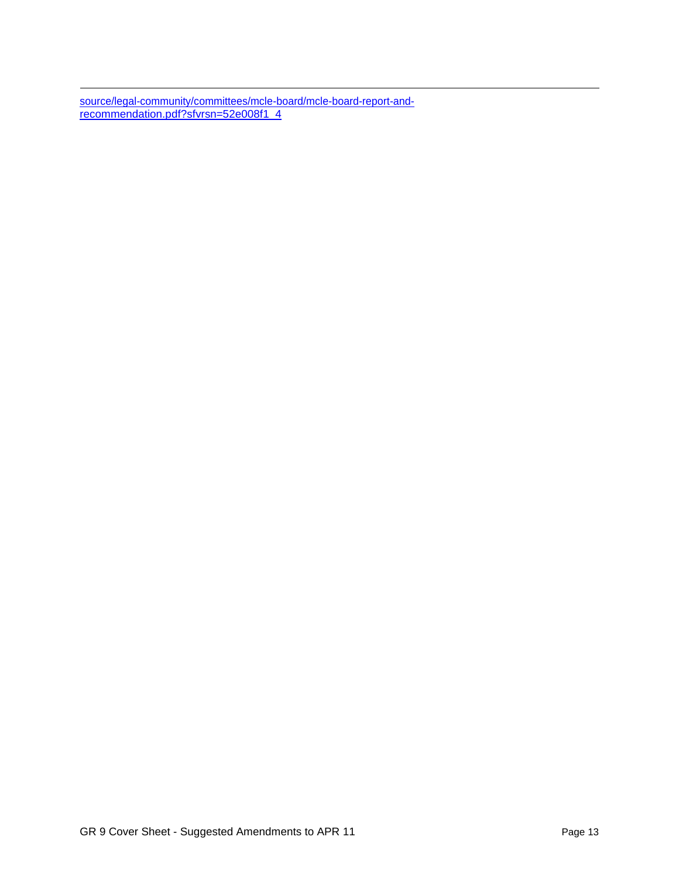source/legal-community/committees/mcle-board/mcle-board-report-andrecommendation.pdf?sfvrsn=52e008f1 4